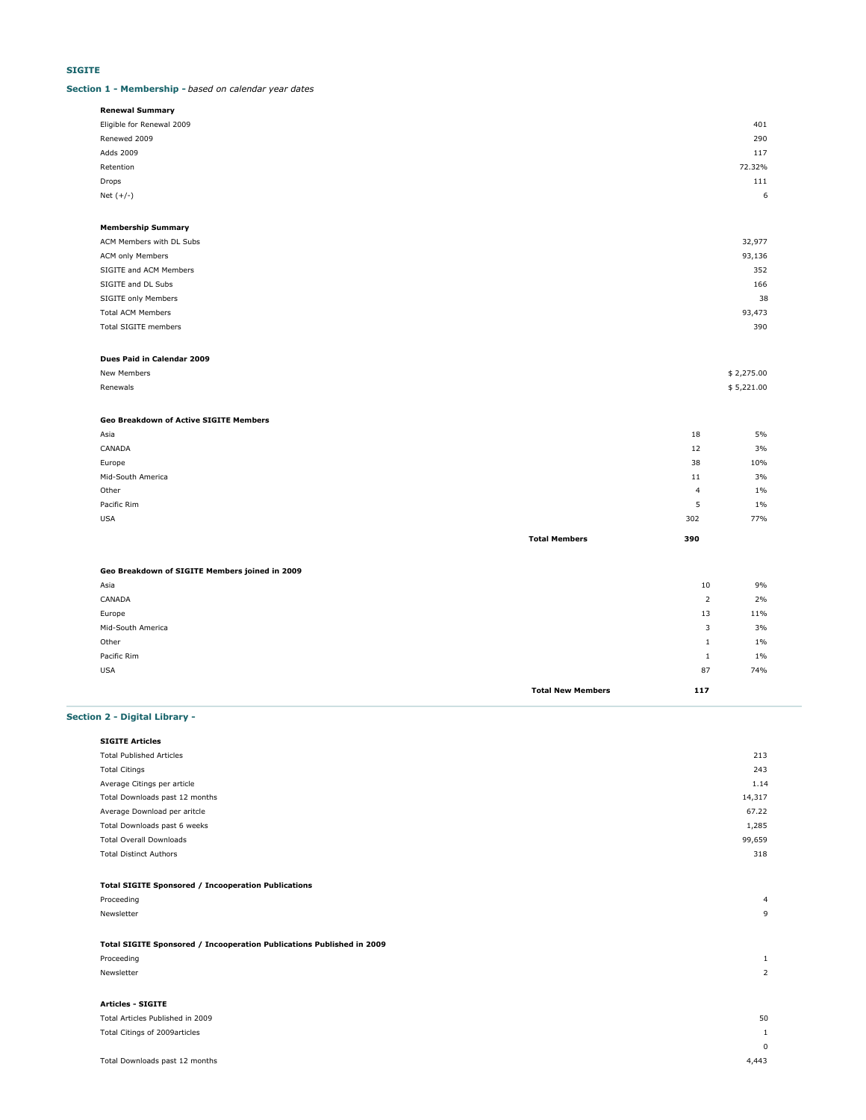### **SIGITE**

### **Section 1 - Membership -** *based on calendar year dates*

| <b>Renewal Summary</b>    |            |
|---------------------------|------------|
| Eligible for Renewal 2009 | 401        |
| Renewed 2009              | 290        |
| Adds 2009                 | 117        |
| Retention                 | 72.32%     |
| Drops                     | 111        |
| Net $(+/-)$               | $\epsilon$ |
|                           |            |

### **Membership Summary**

| ACM Members with DL Subs    | 32,977 |
|-----------------------------|--------|
| ACM only Members            | 93,136 |
| SIGITE and ACM Members      | 352    |
| SIGITE and DL Subs          | 166    |
| SIGITE only Members         | 38     |
| <b>Total ACM Members</b>    | 93,473 |
| <b>Total SIGITE members</b> | 390    |
|                             |        |

### **Dues Paid in Calendar 2009**

| New Members   | \$2,275.00 |
|---------------|------------|
| Renewals<br>. | \$5,221.00 |

### **Geo Breakdown of Active SIGITE Members**

| Asia              |                      | 18  | 5%    |
|-------------------|----------------------|-----|-------|
| CANADA            |                      | 12  | 3%    |
| Europe            |                      | 38  | 10%   |
| Mid-South America |                      | 11  | 3%    |
| Other             |                      | 4   | $1\%$ |
| Pacific Rim       |                      | 5   | 1%    |
| <b>USA</b>        |                      | 302 | 77%   |
|                   | <b>Total Members</b> | 390 |       |

### **Geo Breakdown of SIGITE Members joined in 2009**

| Asia              |                          | 10  | 9%  |
|-------------------|--------------------------|-----|-----|
| CANADA            |                          | 2   | 2%  |
| Europe            |                          | 13  | 11% |
| Mid-South America |                          | 3   | 3%  |
| Other             |                          | л.  | 1%  |
| Pacific Rim       |                          | л.  | 1%  |
| <b>USA</b>        |                          | 87  | 74% |
|                   | <b>Total New Members</b> | 117 |     |

### **Section 2 - Digital Library -**

| <b>SIGITE Articles</b>          |        |
|---------------------------------|--------|
| <b>Total Published Articles</b> | 213    |
| <b>Total Citings</b>            | 243    |
| Average Citings per article     | 1.14   |
| Total Downloads past 12 months  | 14,317 |
| Average Download per aritcle    | 67.22  |
| Total Downloads past 6 weeks    | 1,285  |
| <b>Total Overall Downloads</b>  | 99,659 |
| <b>Total Distinct Authors</b>   | 318    |
|                                 |        |

### **Total SIGITE Sponsored / Incooperation Publications**

| Proceeding                                                            | $\overline{4}$           |
|-----------------------------------------------------------------------|--------------------------|
| Newsletter                                                            | 9                        |
|                                                                       |                          |
| Total SIGITE Sponsored / Incooperation Publications Published in 2009 |                          |
| Proceeding                                                            |                          |
| Newsletter                                                            | $\overline{\phantom{a}}$ |
|                                                                       |                          |
| <b>Articles - SIGITE</b>                                              |                          |
| Total Articles Published in 2009                                      | 50                       |

# Total Citings of 2009articles 1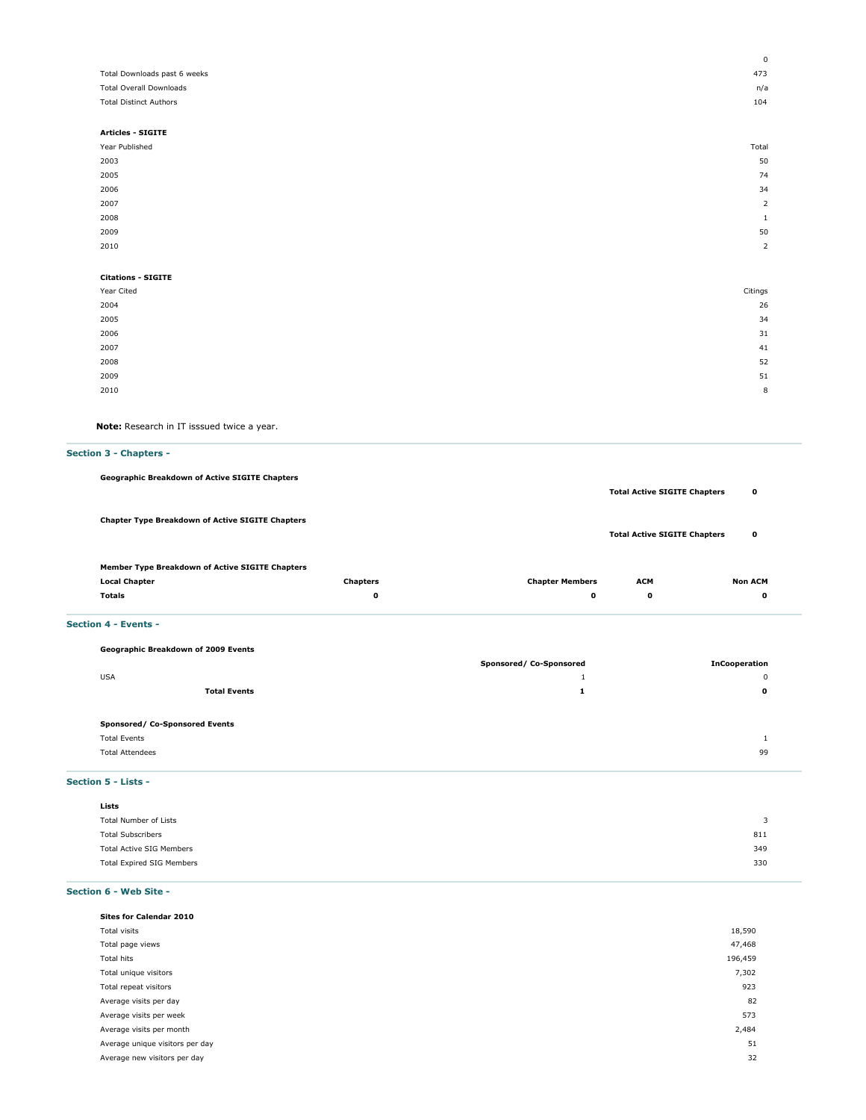|                                | $\mathbf 0$    |
|--------------------------------|----------------|
| Total Downloads past 6 weeks   | 473            |
| <b>Total Overall Downloads</b> | n/a            |
| <b>Total Distinct Authors</b>  | 104            |
|                                |                |
| <b>Articles - SIGITE</b>       |                |
| Year Published                 | Total          |
| 2003                           | 50             |
| 2005                           | 74             |
| 2006                           | 34             |
| 2007                           | $\overline{2}$ |
| 2008                           | $\mathbf{1}$   |
| 2009                           | 50             |
| 2010                           | $\overline{2}$ |
|                                |                |
| <b>Citations - SIGITE</b>      |                |
| Year Cited                     | Citings        |
| 2004                           | 26             |
| 2005                           | 34             |
| 2006                           | 31             |
| 2007                           | 41             |
| 2008                           | 52             |
| 2009                           | 51             |
| 2010                           | 8              |
|                                |                |

**Note:** Research in IT isssued twice a year.

### **Section 3 - Chapters -**

**Geographic Breakdown of Active SIGITE Chapters**

**Total Active SIGITE Chapters 0 Chapter Type Breakdown of Active SIGITE Chapters Total Active SIGITE Chapters 0 Member Type Breakdown of Active SIGITE Chapters**

## **Local Chapter Chapters Chapter Members ACM Non ACM Totals 0 0 0 0**

### **Section 4 - Events -**

| Geographic Breakdown of 2009 Events |                         |                      |
|-------------------------------------|-------------------------|----------------------|
|                                     | Sponsored/ Co-Sponsored | <b>InCooperation</b> |
| <b>USA</b>                          |                         | 0                    |
| <b>Total Events</b>                 | л.                      | 0                    |
|                                     |                         |                      |
| Sponsored/ Co-Sponsored Events      |                         |                      |
| <b>Total Events</b>                 |                         |                      |
| <b>Total Attendees</b>              |                         | 99                   |
|                                     |                         |                      |

### **Section 5 - Lists -**

| Lists                            |     |
|----------------------------------|-----|
| Total Number of Lists            |     |
| <b>Total Subscribers</b>         | 811 |
| <b>Total Active SIG Members</b>  | 349 |
| <b>Total Expired SIG Members</b> | 330 |

### **Section 6 - Web Site -**

| <b>Sites for Calendar 2010</b>  |         |
|---------------------------------|---------|
| Total visits                    | 18,590  |
| Total page views                | 47,468  |
| Total hits                      | 196,459 |
| Total unique visitors           | 7,302   |
| Total repeat visitors           | 923     |
| Average visits per day          | 82      |
| Average visits per week         | 573     |
| Average visits per month        | 2,484   |
| Average unique visitors per day | 51      |
| Average new visitors per day    | 32      |